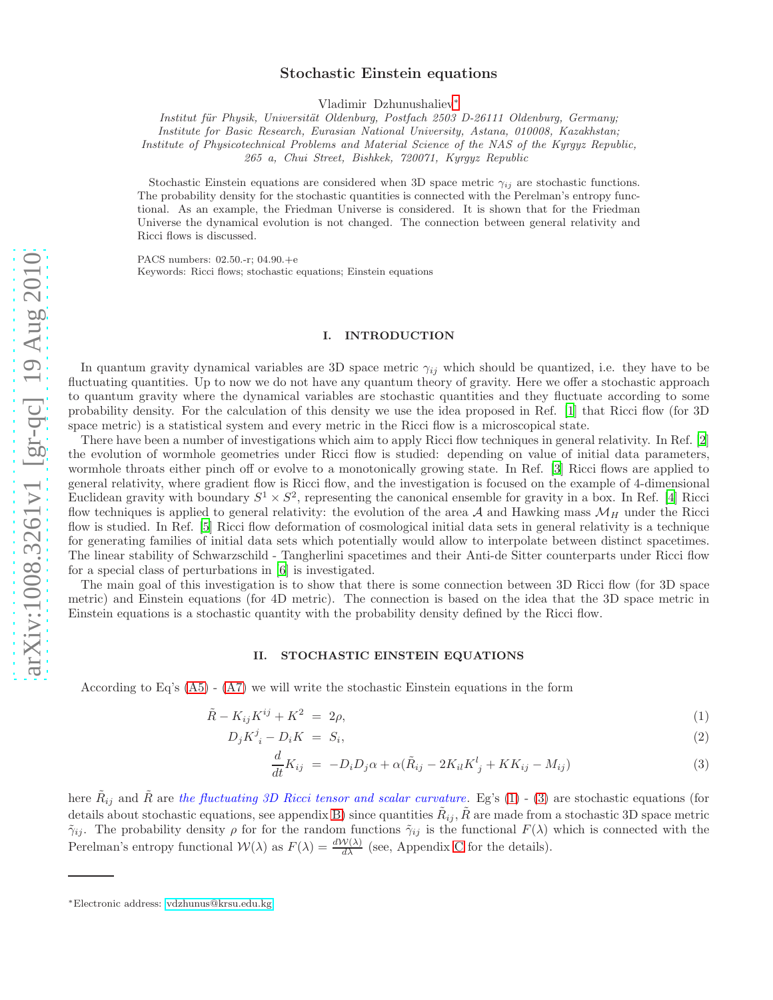# Stochastic Einstein equations

Vladimir Dzhunushaliev[∗](#page-0-0)

Institut für Physik, Universität Oldenburg, Postfach 2503 D-26111 Oldenburg, Germany;

Institute for Basic Research, Eurasian National University, Astana, 010008, Kazakhstan;

Institute of Physicotechnical Problems and Material Science of the NAS of the Kyrgyz Republic,

265 a, Chui Street, Bishkek, 720071, Kyrgyz Republic

Stochastic Einstein equations are considered when 3D space metric  $\gamma_{ij}$  are stochastic functions. The probability density for the stochastic quantities is connected with the Perelman's entropy functional. As an example, the Friedman Universe is considered. It is shown that for the Friedman Universe the dynamical evolution is not changed. The connection between general relativity and Ricci flows is discussed.

PACS numbers: 02.50.-r; 04.90.+e Keywords: Ricci flows; stochastic equations; Einstein equations

## I. INTRODUCTION

In quantum gravity dynamical variables are 3D space metric  $\gamma_{ij}$  which should be quantized, i.e. they have to be fluctuating quantities. Up to now we do not have any quantum theory of gravity. Here we offer a stochastic approach to quantum gravity where the dynamical variables are stochastic quantities and they fluctuate according to some probability density. For the calculation of this density we use the idea proposed in Ref. [\[1\]](#page-4-0) that Ricci flow (for 3D space metric) is a statistical system and every metric in the Ricci flow is a microscopical state.

There have been a number of investigations which aim to apply Ricci flow techniques in general relativity. In Ref. [\[2](#page-4-1)] the evolution of wormhole geometries under Ricci flow is studied: depending on value of initial data parameters, wormhole throats either pinch off or evolve to a monotonically growing state. In Ref. [\[3](#page-4-2)] Ricci flows are applied to general relativity, where gradient flow is Ricci flow, and the investigation is focused on the example of 4-dimensional Euclidean gravity with boundary  $S^1 \times S^2$ , representing the canonical ensemble for gravity in a box. In Ref. [\[4](#page-4-3)] Ricci flow techniques is applied to general relativity: the evolution of the area  $A$  and Hawking mass  $\mathcal{M}_H$  under the Ricci flow is studied. In Ref. [\[5\]](#page-4-4) Ricci flow deformation of cosmological initial data sets in general relativity is a technique for generating families of initial data sets which potentially would allow to interpolate between distinct spacetimes. The linear stability of Schwarzschild - Tangherlini spacetimes and their Anti-de Sitter counterparts under Ricci flow for a special class of perturbations in [\[6](#page-4-5)] is investigated.

The main goal of this investigation is to show that there is some connection between 3D Ricci flow (for 3D space metric) and Einstein equations (for 4D metric). The connection is based on the idea that the 3D space metric in Einstein equations is a stochastic quantity with the probability density defined by the Ricci flow.

### II. STOCHASTIC EINSTEIN EQUATIONS

According to Eq's  $(A5) - (A7)$  $(A5) - (A7)$  we will write the stochastic Einstein equations in the form

<span id="page-0-1"></span>
$$
\tilde{R} - K_{ij}K^{ij} + K^2 = 2\rho,\tag{1}
$$

$$
D_j K^j_{\ i} - D_i K = S_i,\tag{2}
$$

$$
\frac{d}{dt}K_{ij} = -D_i D_j \alpha + \alpha (\tilde{R}_{ij} - 2K_{il}K^l_j + KK_{ij} - M_{ij})
$$
\n(3)

here  $\tilde{R}_{ij}$  and  $\tilde{R}$  are the fluctuating 3D Ricci tensor and scalar curvature. Eg's [\(1\)](#page-0-1) - [\(3\)](#page-0-1) are stochastic equations (for details about stochastic equations, see appendix [B\)](#page-3-2) since quantities  $\tilde R_{ij},\tilde R$  are made from a stochastic 3D space metric  $\tilde{\gamma}_{ij}$ . The probability density  $\rho$  for for the random functions  $\tilde{\gamma}_{ij}$  is the functional  $F(\lambda)$  which is connected with the Perelman's entropy functional  $W(\lambda)$  as  $F(\lambda) = \frac{dW(\lambda)}{d\lambda}$  (see, Appendix [C](#page-3-3) for the details).

<span id="page-0-0"></span><sup>∗</sup>Electronic address: [vdzhunus@krsu.edu.kg](mailto:vdzhunus@krsu.edu.kg)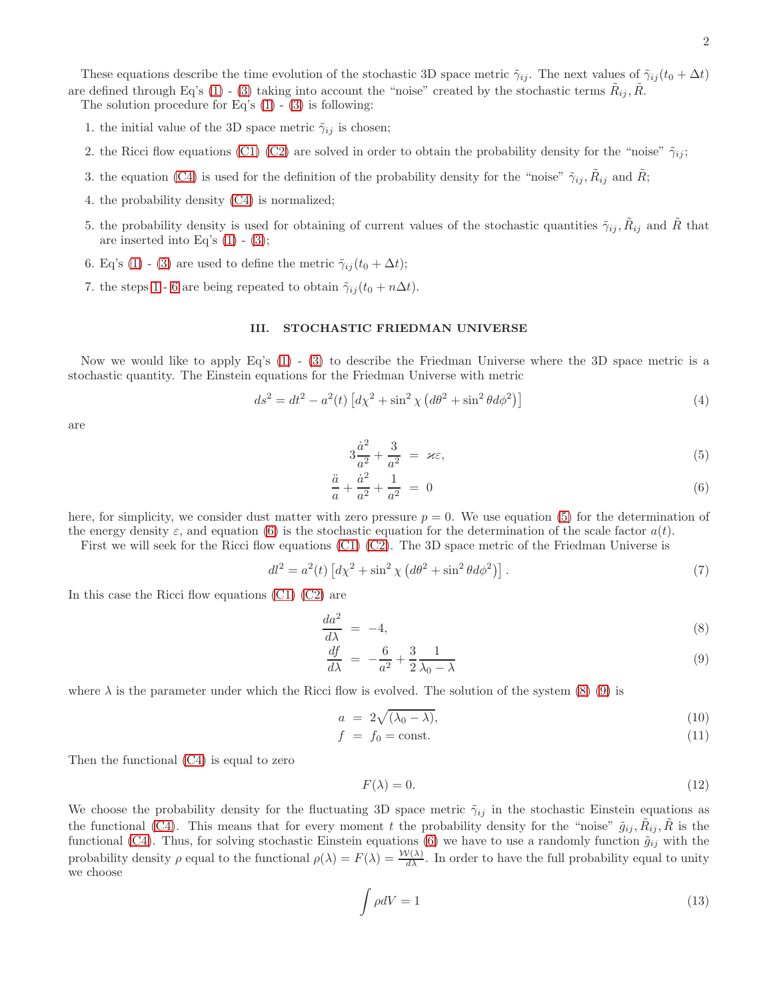These equations describe the time evolution of the stochastic 3D space metric  $\tilde{\gamma}_{ij}$ . The next values of  $\tilde{\gamma}_{ij}(t_0 + \Delta t)$ are defined through Eq's [\(1\)](#page-0-1) - [\(3\)](#page-0-1) taking into account the "noise" created by the stochastic terms  $\tilde{R}_{ij}, \tilde{R}$ .

<span id="page-1-0"></span>The solution procedure for Eq's  $(1) - (3)$  $(1) - (3)$  is following:

- 1. the initial value of the 3D space metric  $\tilde{\gamma}_{ij}$  is chosen;
- 2. the Ricci flow equations [\(C1\) \(C2\)](#page-3-4) are solved in order to obtain the probability density for the "noise"  $\tilde{\gamma}_{ij}$ ;
- 3. the equation [\(C4\)](#page-4-6) is used for the definition of the probability density for the "noise"  $\tilde{\gamma}_{ij}$ ,  $\tilde{R}_{ij}$  and  $\tilde{R}$ ;
- 4. the probability density [\(C4\)](#page-4-6) is normalized;
- 5. the probability density is used for obtaining of current values of the stochastic quantities  $\tilde{\gamma}_{ij}, \tilde{R}_{ij}$  and  $\tilde{R}$  that are inserted into Eq's  $(1)$  -  $(3)$ ;
- <span id="page-1-1"></span>6. Eq's [\(1\)](#page-0-1) - [\(3\)](#page-0-1) are used to define the metric  $\tilde{\gamma}_{ij}(t_0 + \Delta t)$ ;
- 7. the steps [1](#page-1-0)- [6](#page-1-1) are being repeated to obtain  $\tilde{\gamma}_{ij}(t_0 + n\Delta t)$ .

## III. STOCHASTIC FRIEDMAN UNIVERSE

Now we would like to apply Eq's [\(1\)](#page-0-1) - [\(3\)](#page-0-1) to describe the Friedman Universe where the 3D space metric is a stochastic quantity. The Einstein equations for the Friedman Universe with metric

$$
ds^{2} = dt^{2} - a^{2}(t) \left[ d\chi^{2} + \sin^{2} \chi \left( d\theta^{2} + \sin^{2} \theta d\phi^{2} \right) \right]
$$
\n(4)

are

<span id="page-1-2"></span>
$$
3\frac{\dot{a}^2}{a^2} + \frac{3}{a^2} = \varkappa \varepsilon,\tag{5}
$$

$$
\frac{\ddot{a}}{a} + \frac{\dot{a}^2}{a^2} + \frac{1}{a^2} = 0 \tag{6}
$$

here, for simplicity, we consider dust matter with zero pressure  $p = 0$ . We use equation [\(5\)](#page-1-2) for the determination of the energy density  $\varepsilon$ , and equation [\(6\)](#page-1-2) is the stochastic equation for the determination of the scale factor  $a(t)$ .

First we will seek for the Ricci flow equations [\(C1\) \(C2\)](#page-3-4). The 3D space metric of the Friedman Universe is

$$
dl^2 = a^2(t) \left[ d\chi^2 + \sin^2 \chi \left( d\theta^2 + \sin^2 \theta d\phi^2 \right) \right]. \tag{7}
$$

In this case the Ricci flow equations [\(C1\) \(C2\)](#page-3-4) are

<span id="page-1-3"></span>
$$
\frac{da^2}{d\lambda} = -4,\tag{8}
$$

$$
\frac{df}{d\lambda} = -\frac{6}{a^2} + \frac{3}{2} \frac{1}{\lambda_0 - \lambda} \tag{9}
$$

where  $\lambda$  is the parameter under which the Ricci flow is evolved. The solution of the system [\(8\) \(9\)](#page-1-3) is

$$
a = 2\sqrt{(\lambda_0 - \lambda)}, \tag{10}
$$

$$
f = f_0 = \text{const.} \tag{11}
$$

Then the functional [\(C4\)](#page-4-6) is equal to zero

<span id="page-1-4"></span>
$$
F(\lambda) = 0.\t(12)
$$

We choose the probability density for the fluctuating 3D space metric  $\tilde{\gamma}_{ij}$  in the stochastic Einstein equations as the functional [\(C4\)](#page-4-6). This means that for every moment t the probability density for the "noise"  $\tilde{g}_{ij}, \tilde{R}_{ij}, \tilde{R}$  is the functional [\(C4\)](#page-4-6). Thus, for solving stochastic Einstein equations [\(6\)](#page-1-2) we have to use a randomly function  $\tilde{g}_{ij}$  with the probability density  $\rho$  equal to the functional  $\rho(\lambda) = F(\lambda) = \frac{\mathcal{W}(\lambda)}{d\lambda}$ . In order to have the full probability equal to unity we choose

$$
\int \rho dV = 1\tag{13}
$$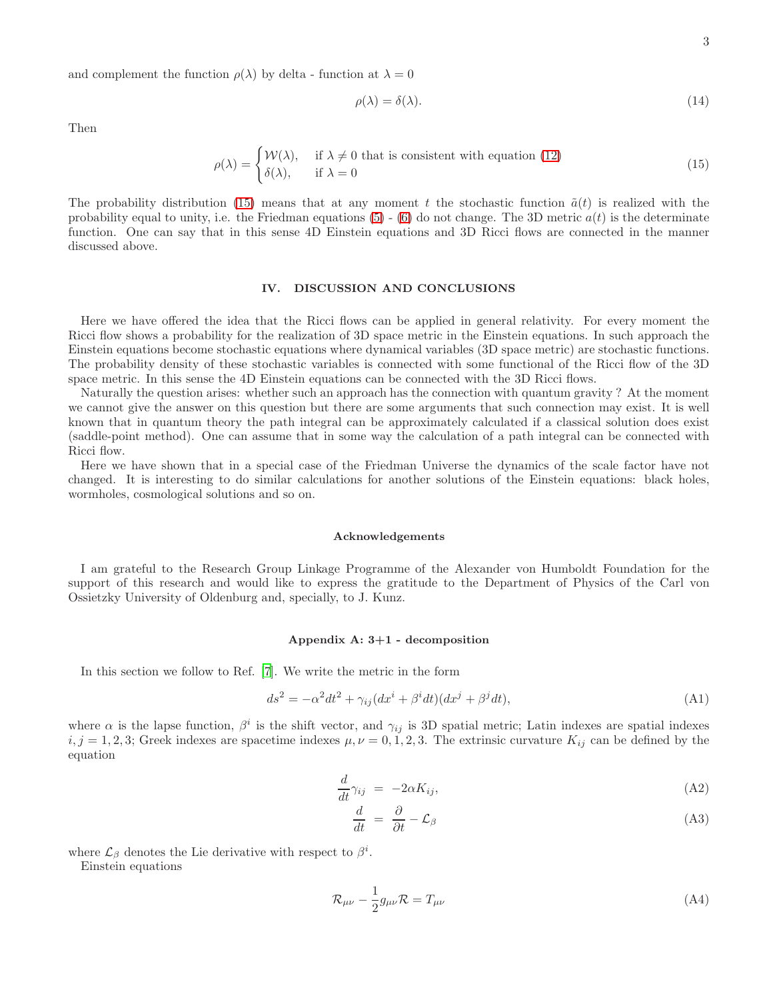and complement the function  $\rho(\lambda)$  by delta - function at  $\lambda = 0$ 

$$
\rho(\lambda) = \delta(\lambda). \tag{14}
$$

Then

<span id="page-2-0"></span>
$$
\rho(\lambda) = \begin{cases} \mathcal{W}(\lambda), & \text{if } \lambda \neq 0 \text{ that is consistent with equation (12)}\\ \delta(\lambda), & \text{if } \lambda = 0 \end{cases}
$$
 (15)

The probability distribution [\(15\)](#page-2-0) means that at any moment t the stochastic function  $\tilde{a}(t)$  is realized with the probability equal to unity, i.e. the Friedman equations  $(5)$  -  $(6)$  do not change. The 3D metric  $a(t)$  is the determinate function. One can say that in this sense 4D Einstein equations and 3D Ricci flows are connected in the manner discussed above.

### IV. DISCUSSION AND CONCLUSIONS

Here we have offered the idea that the Ricci flows can be applied in general relativity. For every moment the Ricci flow shows a probability for the realization of 3D space metric in the Einstein equations. In such approach the Einstein equations become stochastic equations where dynamical variables (3D space metric) are stochastic functions. The probability density of these stochastic variables is connected with some functional of the Ricci flow of the 3D space metric. In this sense the 4D Einstein equations can be connected with the 3D Ricci flows.

Naturally the question arises: whether such an approach has the connection with quantum gravity ? At the moment we cannot give the answer on this question but there are some arguments that such connection may exist. It is well known that in quantum theory the path integral can be approximately calculated if a classical solution does exist (saddle-point method). One can assume that in some way the calculation of a path integral can be connected with Ricci flow.

Here we have shown that in a special case of the Friedman Universe the dynamics of the scale factor have not changed. It is interesting to do similar calculations for another solutions of the Einstein equations: black holes, wormholes, cosmological solutions and so on.

#### Acknowledgements

I am grateful to the Research Group Linkage Programme of the Alexander von Humboldt Foundation for the support of this research and would like to express the gratitude to the Department of Physics of the Carl von Ossietzky University of Oldenburg and, specially, to J. Kunz.

## Appendix A: 3+1 - decomposition

In this section we follow to Ref. [\[7\]](#page-4-7). We write the metric in the form

$$
ds^{2} = -\alpha^{2}dt^{2} + \gamma_{ij}(dx^{i} + \beta^{i}dt)(dx^{j} + \beta^{j}dt),
$$
\n(A1)

where  $\alpha$  is the lapse function,  $\beta^i$  is the shift vector, and  $\gamma_{ij}$  is 3D spatial metric; Latin indexes are spatial indexes  $i, j = 1, 2, 3$ ; Greek indexes are spacetime indexes  $\mu, \nu = 0, 1, 2, 3$ . The extrinsic curvature  $K_{ij}$  can be defined by the equation

<span id="page-2-1"></span>
$$
\frac{d}{dt}\gamma_{ij} = -2\alpha K_{ij},\tag{A2}
$$

$$
\frac{d}{dt} = \frac{\partial}{\partial t} - \mathcal{L}_{\beta} \tag{A3}
$$

where  $\mathcal{L}_{\beta}$  denotes the Lie derivative with respect to  $\beta^{i}$ .

Einstein equations

$$
\mathcal{R}_{\mu\nu} - \frac{1}{2}g_{\mu\nu}\mathcal{R} = T_{\mu\nu} \tag{A4}
$$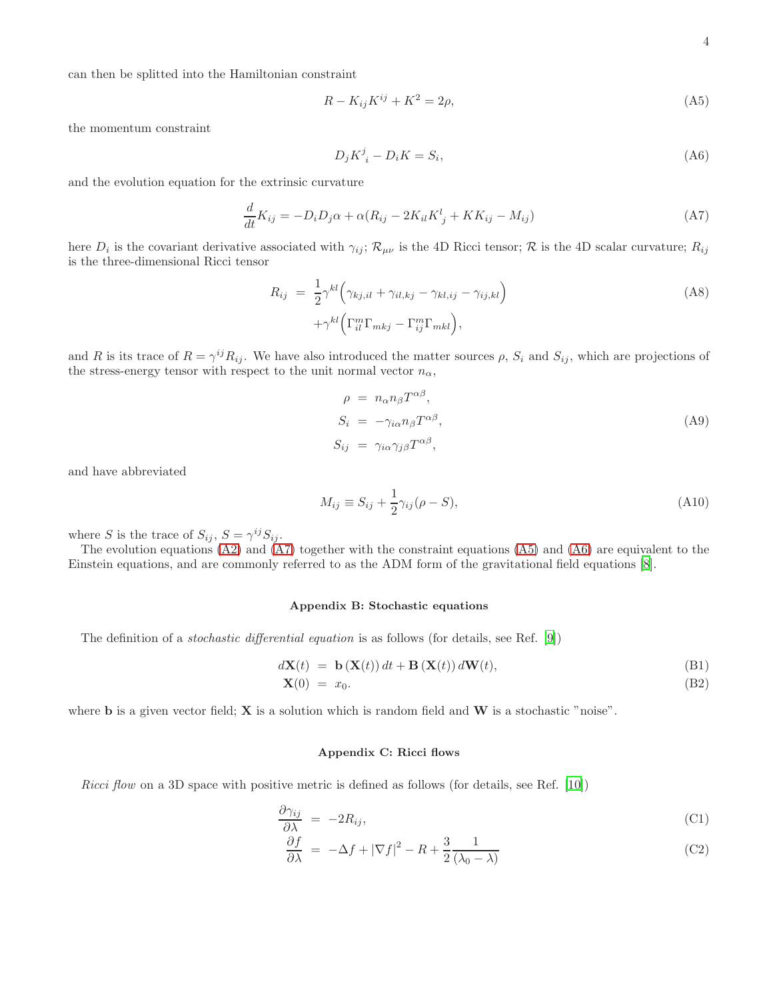can then be splitted into the Hamiltonian constraint

<span id="page-3-0"></span>
$$
R - K_{ij}K^{ij} + K^2 = 2\rho,\tag{A5}
$$

the momentum constraint

<span id="page-3-5"></span>
$$
D_j K^j_{\ i} - D_i K = S_i,\tag{A6}
$$

and the evolution equation for the extrinsic curvature

<span id="page-3-1"></span>
$$
\frac{d}{dt}K_{ij} = -D_i D_j \alpha + \alpha (R_{ij} - 2K_{il}K^l_{\ j} + KK_{ij} - M_{ij})
$$
\n(A7)

here  $D_i$  is the covariant derivative associated with  $\gamma_{ij}$ ;  $\mathcal{R}_{\mu\nu}$  is the 4D Ricci tensor;  $\mathcal R$  is the 4D scalar curvature;  $R_{ij}$ is the three-dimensional Ricci tensor

$$
R_{ij} = \frac{1}{2} \gamma^{kl} \left( \gamma_{kj,il} + \gamma_{il,kj} - \gamma_{kl,ij} - \gamma_{ij,kl} \right) + \gamma^{kl} \left( \Gamma_{il}^m \Gamma_{mkj} - \Gamma_{ij}^m \Gamma_{mkl} \right),
$$
 (A8)

and R is its trace of  $R = \gamma^{ij} R_{ij}$ . We have also introduced the matter sources  $\rho$ ,  $S_i$  and  $S_{ij}$ , which are projections of the stress-energy tensor with respect to the unit normal vector  $n_{\alpha}$ ,

$$
\rho = n_{\alpha} n_{\beta} T^{\alpha \beta},
$$
  
\n
$$
S_i = -\gamma_{i\alpha} n_{\beta} T^{\alpha \beta},
$$
  
\n
$$
S_{ij} = \gamma_{i\alpha} \gamma_{j\beta} T^{\alpha \beta},
$$
\n(A9)

and have abbreviated

$$
M_{ij} \equiv S_{ij} + \frac{1}{2} \gamma_{ij} (\rho - S), \tag{A10}
$$

where S is the trace of  $S_{ij}$ ,  $S = \gamma^{ij} S_{ij}$ .

The evolution equations  $(A2)$  and  $(A7)$  together with the constraint equations  $(A5)$  and  $(A6)$  are equivalent to the Einstein equations, and are commonly referred to as the ADM form of the gravitational field equations [\[8\]](#page-4-8).

#### <span id="page-3-2"></span>Appendix B: Stochastic equations

The definition of a stochastic differential equation is as follows (for details, see Ref. [\[9\]](#page-4-9))

$$
d\mathbf{X}(t) = \mathbf{b}(\mathbf{X}(t)) dt + \mathbf{B}(\mathbf{X}(t)) d\mathbf{W}(t),
$$
\n(B1)  
\n
$$
\mathbf{X}(0) = x_0.
$$
\n(B2)

where **b** is a given vector field;  $X$  is a solution which is random field and  $W$  is a stochastic "noise".

#### <span id="page-3-3"></span>Appendix C: Ricci flows

Ricci flow on a 3D space with positive metric is defined as follows (for details, see Ref. [\[10](#page-4-10)])

<span id="page-3-4"></span>
$$
\frac{\partial \gamma_{ij}}{\partial \lambda} = -2R_{ij},\tag{C1}
$$

$$
\frac{\partial f}{\partial \lambda} = -\Delta f + |\nabla f|^2 - R + \frac{3}{2} \frac{1}{(\lambda_0 - \lambda)}\tag{C2}
$$